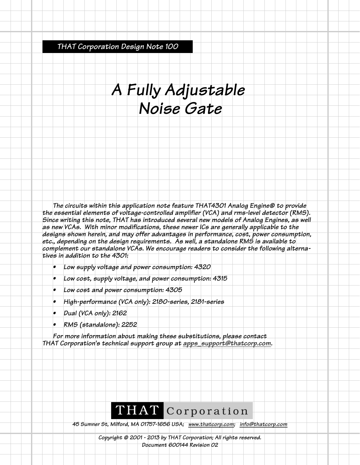*THAT Corporation Design Note 100*

## *A Fully Adjustable Noise Gate*

*The circuits within this application note feature THAT4301 Analog Engine® to provide the essential elements of voltage-controlled amplifier (VCA) and rms-level detector (RMS). Since writing this note, THAT has introduced several new models of Analog Engines, as well as new VCAs. With minor modifications, these newer ICs are generally applicable to the designs shown herein, and may offer advantages in performance, cost, power consumption, etc., depending on the design requirements. As well, a standalone RMS is available to complement our standalone VCAs. We encourage readers to consider the following alternatives in addition to the 4301:*

- *Low supply voltage and power consumption: 4320*
- *Low cost, supply voltage, and power consumption: 4315*
- *Low cost and power consumption: 4305*
- *High-performance (VCA only): 2180-series, 2181-series*
- *Dual (VCA only): 2162*
- *RMS (standalone): 2252*

*For more information about making these substitutions, please contact THAT Corporation's technical support group at apps\_support@thatcorp.com.*

## THAT Corporation

*45 Sumner St, Milford, MA 01757-1656 USA; www.thatcorp.com; info@thatcorp.com*

*Copyright © 2001 - 2013 by THAT Corporation; All rights reserved. Document 600144 Revision 02*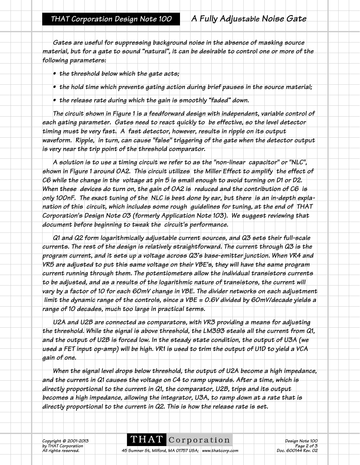*Gates are useful for suppressing background noise in the absence of masking source material, but for a gate to sound "natural", it can be desirable to control one or more of the following parameters:*

- *the threshold below which the gate acts;*
- *the hold time which prevents gating action during brief pauses in the source material;*
- *the release rate during which the gain is smoothly "faded" down.*

*The circuit shown in Figure 1 is a feedforward design with independent, variable control of each gating parameter. Gates need to react quickly to be effective, so the level detector timing must be very fast. A fast detector, however, results in ripple on its output waveform. Ripple, in turn, can cause "false" triggering of the gate when the detector output is very near the trip point of the threshold comparator.*

*A solution is to use a timing circuit we refer to as the "non-linear capacitor" or "NLC", shown in Figure 1 around OA2. This circuit utilizes the Miller Effect to amplify the effect of C6 while the change in the voltage at pin 5 is small enough to avoid turning on D1 or D2. When these devices do turn on, the gain of OA2 is reduced and the contribution of C6 is only 100nF. The exact tuning of the NLC is best done by ear, but there is an in-depth explanation of this circuit, which includes some rough guidelines for tuning, at the end of THAT Corporation's Design Note 03 (formerly Application Note 103). We suggest reviewing that document before beginning to tweak the circuit's performance.*

*Q1 and Q2 form logarithmically adjustable current sources, and Q3 sets their full-scale currents. The rest of the design is relatively straightforward. The current through Q3 is the program current, and it sets up a voltage across Q3's base-emitter junction. When VR4 and VR5 are adjusted to put this same voltage on their VBE's, they will have the same program current running through them. The potentiometers allow the individual transistors currents to be adjusted, and as a results of the logarithmic nature of transistors, the current will vary by a factor of 10 for each 60mV change in VBE. The divider networks on each adjustment limit the dynamic range of the controls, since a VBE = 0.6V divided by 60mV/decade yields a range of 10 decades, much too large in practical terms.*

*U2A and U2B are connected as comparators, with VR3 providing a means for adjusting the threshold. While the signal is above threshold, the LM393 steals all the current from Q1, and the output of U2B is forced low. In the steady state condition, the output of U3A (we used a FET input op-amp) will be high. VR1 is used to trim the output of U1D to yield a VCA gain of one.*

*When the signal level drops below threshold, the output of U2A become a high impedance, and the current in Q1 causes the voltage on C4 to ramp upwards. After a time, which is directly proportional to the current in Q1, the comparator, U2B, trips and its output becomes a high impedance, allowing the integrator, U3A, to ramp down at a rate that is directly proportional to the current in Q2. This is how the release rate is set.*

*b*y THAT © 2001-2013<br>by THAT Corporation<br>All rights reserved.

**THAT** COPPOPATION<br> *Pesign Note 100*<br> *Page 2 of 3*<br> *Doc. 600144 Rev. 02* 

*A5 Sumner St, Milford, MA 01757 USA; www.thatcorp.com*